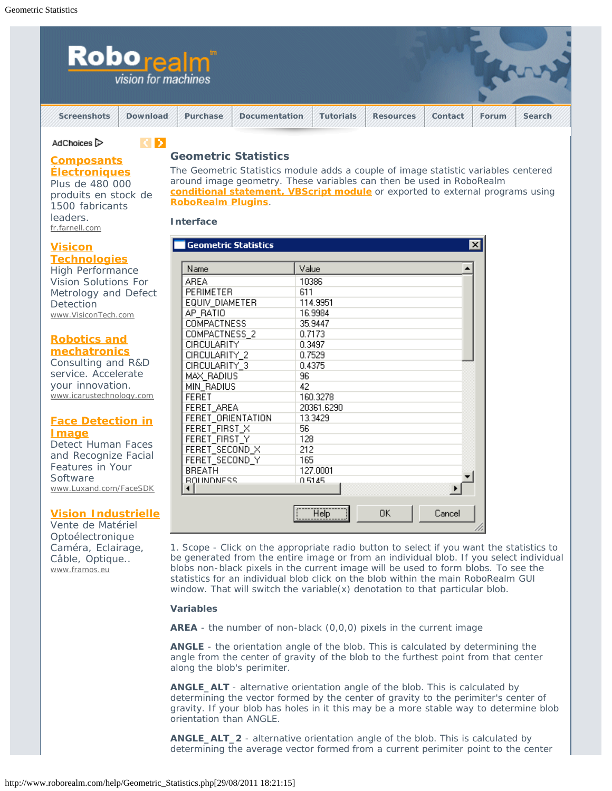

## AdChoices<sup>1</sup>

## **[Composants](http://googleads.g.doubleclick.net/aclk?sa=l&ai=BajTDWbxbTpLAB9CW8APWluWuDtaGmYMCjruipBzAjbcBoOAUEAEYASDU8KkDKAU4AFDAlKKJ-v____8BYPuR94KICqABpqP2_QOyARF3d3cucm9ib3JlYWxtLmNvbboBCjE2MHg2MDBfYXPIAQHaATZodHRwOi8vd3d3LnJvYm9yZWFsbS5jb20vaGVscC9HZW9tZXRyaWNfU3RhdGlzdGljcy5waHCpAvQp1I5zf7s-yAKOvbkaqAMByANX6AO0A-gDrgH1AwAAAMQ&num=1&sig=AOD64_08pDgBD5NaD_XuxqQ0AJ7xT87mxA&client=ca-pub-7452596248848044&adurl=http://fr.farnell.com/jsp/home/homepage.jsp%3FCMP%3DKNC-GFR-FFR-GEN-PFB-CONT%26s_kwcid%3DTC%7C13124%7Ccomposant%2520electronique%7Cwww.roborealm.com%7CC%7C%7C7498004342&nm=3) [Électroniques](http://googleads.g.doubleclick.net/aclk?sa=l&ai=BajTDWbxbTpLAB9CW8APWluWuDtaGmYMCjruipBzAjbcBoOAUEAEYASDU8KkDKAU4AFDAlKKJ-v____8BYPuR94KICqABpqP2_QOyARF3d3cucm9ib3JlYWxtLmNvbboBCjE2MHg2MDBfYXPIAQHaATZodHRwOi8vd3d3LnJvYm9yZWFsbS5jb20vaGVscC9HZW9tZXRyaWNfU3RhdGlzdGljcy5waHCpAvQp1I5zf7s-yAKOvbkaqAMByANX6AO0A-gDrgH1AwAAAMQ&num=1&sig=AOD64_08pDgBD5NaD_XuxqQ0AJ7xT87mxA&client=ca-pub-7452596248848044&adurl=http://fr.farnell.com/jsp/home/homepage.jsp%3FCMP%3DKNC-GFR-FFR-GEN-PFB-CONT%26s_kwcid%3DTC%7C13124%7Ccomposant%2520electronique%7Cwww.roborealm.com%7CC%7C%7C7498004342&nm=3)**

Plus de 480 000 produits en stock de 1500 fabricants

**Geometric Statistics**

 $\langle \rangle$ 

The Geometric Statistics module adds a couple of image statistic variables centered around image geometry. These variables can then be used in RoboRealm **[conditional statement,](http://www.roborealm.com/help/If_Statement.php) [VBScript module](http://www.roborealm.com/help/VBScript_Program.php)** or exported to external programs using **[RoboRealm Plugins](http://www.roborealm.com/help/plugins.php)**.

**Interface**

| mnol |  |
|------|--|

leaders. fr.farnell.com

High Performance Vision Solutions For Metrology and Defect **Detection** www.VisiconTech.com

# **[Robotics and](http://googleads.g.doubleclick.net/aclk?sa=L&ai=Bo4ZKWbxbTpLAB9CW8APWluWuDo-gg-4Bl8PBjx7AjbcB8NccEAMYAyDU8KkDKAU4AFCSx9LZAmD7kfeCiAqyARF3d3cucm9ib3JlYWxtLmNvbboBCjE2MHg2MDBfYXPIAQHaATZodHRwOi8vd3d3LnJvYm9yZWFsbS5jb20vaGVscC9HZW9tZXRyaWNfU3RhdGlzdGljcy5waHCAAgGpApfNOcOPVLg-qAMByANX6AO0A-gDrgH1AwAAAMQ&num=3&sig=AOD64_1BveOBHobBugEO3UcM2pCxdfTloA&client=ca-pub-7452596248848044&adurl=http://www.icarustechnology.com) [mechatronics](http://googleads.g.doubleclick.net/aclk?sa=L&ai=Bo4ZKWbxbTpLAB9CW8APWluWuDo-gg-4Bl8PBjx7AjbcB8NccEAMYAyDU8KkDKAU4AFCSx9LZAmD7kfeCiAqyARF3d3cucm9ib3JlYWxtLmNvbboBCjE2MHg2MDBfYXPIAQHaATZodHRwOi8vd3d3LnJvYm9yZWFsbS5jb20vaGVscC9HZW9tZXRyaWNfU3RhdGlzdGljcy5waHCAAgGpApfNOcOPVLg-qAMByANX6AO0A-gDrgH1AwAAAMQ&num=3&sig=AOD64_1BveOBHobBugEO3UcM2pCxdfTloA&client=ca-pub-7452596248848044&adurl=http://www.icarustechnology.com)**

Consulting and R&D service. Accelerate your innovation. www.icarustechnology.com

# **[Face Detection in](http://googleads.g.doubleclick.net/aclk?sa=l&ai=BctPFWbxbTpLAB9CW8APWluWuDuqhhfEBopXIoxvAjbcBsL0QEAQYBCDU8KkDKAU4AFCp-tz6_f____8BYPuR94KICqAB2OOW_gOyARF3d3cucm9ib3JlYWxtLmNvbboBCjE2MHg2MDBfYXPIAQHaATZodHRwOi8vd3d3LnJvYm9yZWFsbS5jb20vaGVscC9HZW9tZXRyaWNfU3RhdGlzdGljcy5waHCAAgGoAwHIA1foA7QD6AOuAfUDAAAAxA&num=4&sig=AOD64_0P-TmwVo_INwH1qKkH-7mWxFdjSg&client=ca-pub-7452596248848044&adurl=http://www.luxand.com/facesdk/) [Image](http://googleads.g.doubleclick.net/aclk?sa=l&ai=BctPFWbxbTpLAB9CW8APWluWuDuqhhfEBopXIoxvAjbcBsL0QEAQYBCDU8KkDKAU4AFCp-tz6_f____8BYPuR94KICqAB2OOW_gOyARF3d3cucm9ib3JlYWxtLmNvbboBCjE2MHg2MDBfYXPIAQHaATZodHRwOi8vd3d3LnJvYm9yZWFsbS5jb20vaGVscC9HZW9tZXRyaWNfU3RhdGlzdGljcy5waHCAAgGoAwHIA1foA7QD6AOuAfUDAAAAxA&num=4&sig=AOD64_0P-TmwVo_INwH1qKkH-7mWxFdjSg&client=ca-pub-7452596248848044&adurl=http://www.luxand.com/facesdk/)**

Detect Human Faces and Recognize Facial Features in Your **Software** www.Luxand.com/FaceSDK

# **[Vision Industrielle](http://googleads.g.doubleclick.net/aclk?sa=L&ai=Bl1zmWbxbTpLAB9CW8APWluWuDty8nNcBlP753h3AjbcBoLMjEAUYBSDU8KkDKAU4AFC3g876AWD7kfeCiAqyARF3d3cucm9ib3JlYWxtLmNvbboBCjE2MHg2MDBfYXPIAQHaATZodHRwOi8vd3d3LnJvYm9yZWFsbS5jb20vaGVscC9HZW9tZXRyaWNfU3RhdGlzdGljcy5waHCAAgGpApfNOcOPVLg-qAMByANX6AO0A-gDrgH1AwAAAMQ&num=5&sig=AOD64_0f00VOHwpaNZEuH__-lZ2qV1F0vw&client=ca-pub-7452596248848044&adurl=http://www.framos.eu/fr/produits.html)**

Vente de Matériel Optoélectronique Caméra, Eclairage, Câble, Optique.. www.framos.eu

#### **Geometric Statistics**  $\vert x \vert$ Name Value ▲ **AREA** 10386 **PERIMETER** 611 EQUIV\_DIAMETER 114.9951 AP RATIO 16.9984 **COMPACTNESS** 35.9447 COMPACTNESS\_2 0.7173 CIRCULARITY 0.3497 CIRCULARITY\_2 0.7529 CIRCULARITY\_3 0.4375 96 MAX\_RADIUS MIN\_RADIUS 42 **FERET** 160.3278 20361.6290 FERET\_AREA FERET\_ORIENTATION 13.3429 56 FERET\_FIRST\_X 128 FERET\_FIRST\_Y FERET\_SECOND\_X 212 FERET\_SECOND\_Y 165 **BREATH** 127.0001 **BOUNDNESS** 0.5145  $\blacktriangleright$  $\overline{\bullet}$ 0K Help Cancel

1. Scope - Click on the appropriate radio button to select if you want the statistics to be generated from the entire image or from an individual blob. If you select individual blobs non-black pixels in the current image will be used to form blobs. To see the statistics for an individual blob click on the blob within the main RoboRealm GUI window. That will switch the variable(x) denotation to that particular blob.

# **Variables**

**AREA** - the number of non-black (0,0,0) pixels in the current image

**ANGLE** - the orientation angle of the blob. This is calculated by determining the angle from the center of gravity of the blob to the furthest point from that center along the blob's perimiter.

**ANGLE\_ALT** - alternative orientation angle of the blob. This is calculated by determining the vector formed by the center of gravity to the perimiter's center of gravity. If your blob has holes in it this may be a more stable way to determine blob orientation than ANGLE.

**ANGLE\_ALT\_2** - alternative orientation angle of the blob. This is calculated by determining the average vector formed from a current perimiter point to the center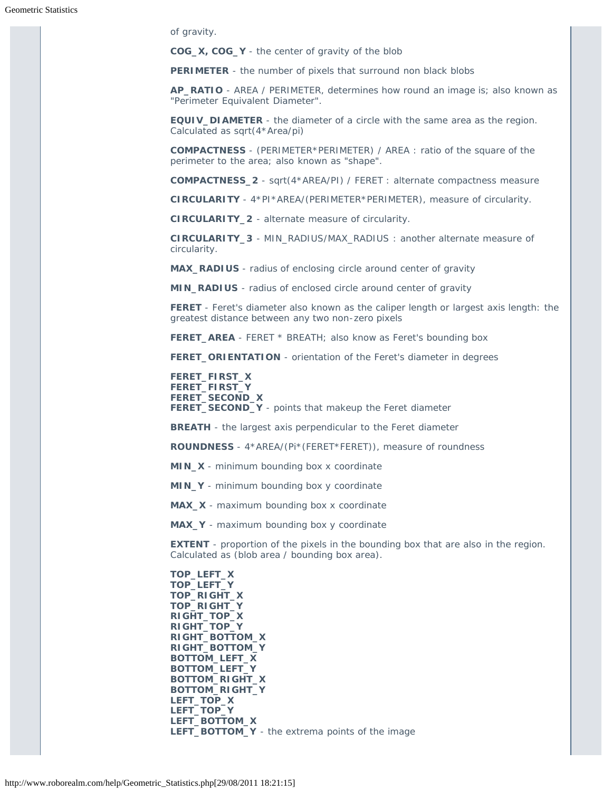of gravity.

**COG\_X, COG\_Y** - the center of gravity of the blob

**PERIMETER** - the number of pixels that surround non black blobs

**AP\_RATIO** - AREA / PERIMETER, determines how round an image is; also known as "Perimeter Equivalent Diameter".

**EQUIV\_DIAMETER** - the diameter of a circle with the same area as the region. Calculated as sqrt(4\*Area/pi)

**COMPACTNESS** - (PERIMETER\*PERIMETER) / AREA : ratio of the square of the perimeter to the area; also known as "shape".

**COMPACTNESS\_2** - sqrt(4\*AREA/PI) / FERET : alternate compactness measure

**CIRCULARITY** - 4\*PI\*AREA/(PERIMETER\*PERIMETER), measure of circularity.

**CIRCULARITY\_2** - alternate measure of circularity.

**CIRCULARITY\_3** - MIN\_RADIUS/MAX\_RADIUS : another alternate measure of circularity.

**MAX\_RADIUS** - radius of enclosing circle around center of gravity

**MIN\_RADIUS** - radius of enclosed circle around center of gravity

**FERET** - Feret's diameter also known as the caliper length or largest axis length: the greatest distance between any two non-zero pixels

**FERET\_AREA** - FERET \* BREATH; also know as Feret's bounding box

**FERET\_ORIENTATION** - orientation of the Feret's diameter in degrees

**FERET\_FIRST\_X FERET\_FIRST\_Y FERET\_SECOND\_X FERET\_SECOND\_Y** - points that makeup the Feret diameter

**BREATH** - the largest axis perpendicular to the Feret diameter

**ROUNDNESS** - 4\*AREA/(Pi\*(FERET\*FERET)), measure of roundness

**MIN\_X** - minimum bounding box x coordinate

**MIN\_Y** - minimum bounding box y coordinate

**MAX\_X** - maximum bounding box x coordinate

**MAX\_Y** - maximum bounding box y coordinate

**EXTENT** - proportion of the pixels in the bounding box that are also in the region. Calculated as (blob area / bounding box area).

**TOP\_LEFT\_X TOP\_LEFT\_Y TOP\_RIGHT\_X TOP\_RIGHT\_Y RIGHT\_TOP\_X RIGHT\_TOP\_Y RIGHT\_BOTTOM\_X RIGHT\_BOTTOM\_Y BOTTOM\_LEFT\_X BOTTOM\_LEFT\_Y BOTTOM\_RIGHT\_X BOTTOM\_RIGHT\_Y LEFT\_TOP\_X LEFT\_TOP\_Y LEFT\_BOTTOM\_X LEFT\_BOTTOM\_Y** - the extrema points of the image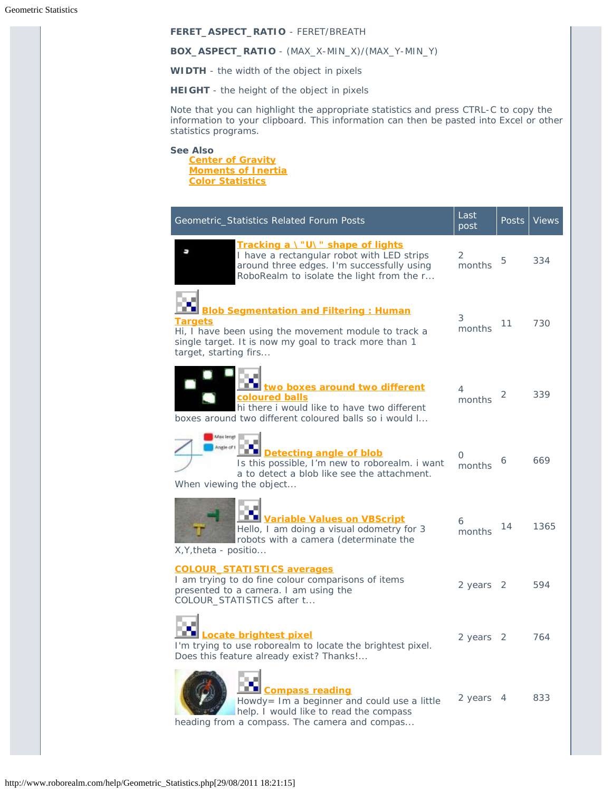## **FERET\_ASPECT\_RATIO** - FERET/BREATH

#### **BOX\_ASPECT\_RATIO** - (MAX\_X-MIN\_X)/(MAX\_Y-MIN\_Y)

**WIDTH** - the width of the object in pixels

**HEIGHT** - the height of the object in pixels

Note that you can highlight the appropriate statistics and press CTRL-C to copy the information to your clipboard. This information can then be pasted into Excel or other statistics programs.

**See Also**

**[Center of Gravity](http://www.roborealm.com/help/Center of Gravity.php) [Moments of Inertia](http://www.roborealm.com/help/Moments.php) [Color Statistics](http://www.roborealm.com/help/Color_Statistics.php)**

| Geometric_Statistics Related Forum Posts                                                                                                                                                                  | Last<br>post | <b>Posts</b>   | <b>Views</b> |
|-----------------------------------------------------------------------------------------------------------------------------------------------------------------------------------------------------------|--------------|----------------|--------------|
| Tracking a \"U\" shape of lights<br>ш<br>I have a rectangular robot with LED strips<br>around three edges. I'm successfully using<br>RoboRealm to isolate the light from the r                            | 2<br>months  | 5              | 334          |
| <b>Blob Segmentation and Filtering: Human</b><br><b>Targets</b><br>Hi, I have been using the movement module to track a<br>single target. It is now my goal to track more than 1<br>target, starting firs | 3<br>months  | 11             | 730          |
| two boxes around two different<br>coloured balls<br>hi there i would like to have two different<br>boxes around two different coloured balls so i would I                                                 | 4<br>months  | 2              | 339          |
| Max lengt<br>Angle of<br>Detecting angle of blob<br>Is this possible, I'm new to roborealm. i want<br>a to detect a blob like see the attachment.<br>When viewing the object                              | 0<br>months  | 6              | 669          |
| Variable Values on VBScript<br>Hello, I am doing a visual odometry for 3<br>robots with a camera (determinate the<br>X, Y, theta - positio                                                                | 6<br>months  | 14             | 1365         |
| <b>COLOUR STATISTICS averages</b><br>I am trying to do fine colour comparisons of items<br>presented to a camera. I am using the<br>COLOUR_STATISTICS after t                                             | 2 years 2    |                | 594          |
| Locate brightest pixel<br>I'm trying to use roborealm to locate the brightest pixel.<br>Does this feature already exist? Thanks !                                                                         | 2 years 2    |                | 764          |
| <b>Compass reading</b><br>Howdy= Im a beginner and could use a little<br>help. I would like to read the compass<br>heading from a compass. The camera and compas                                          | 2 years      | $\overline{4}$ | 833          |